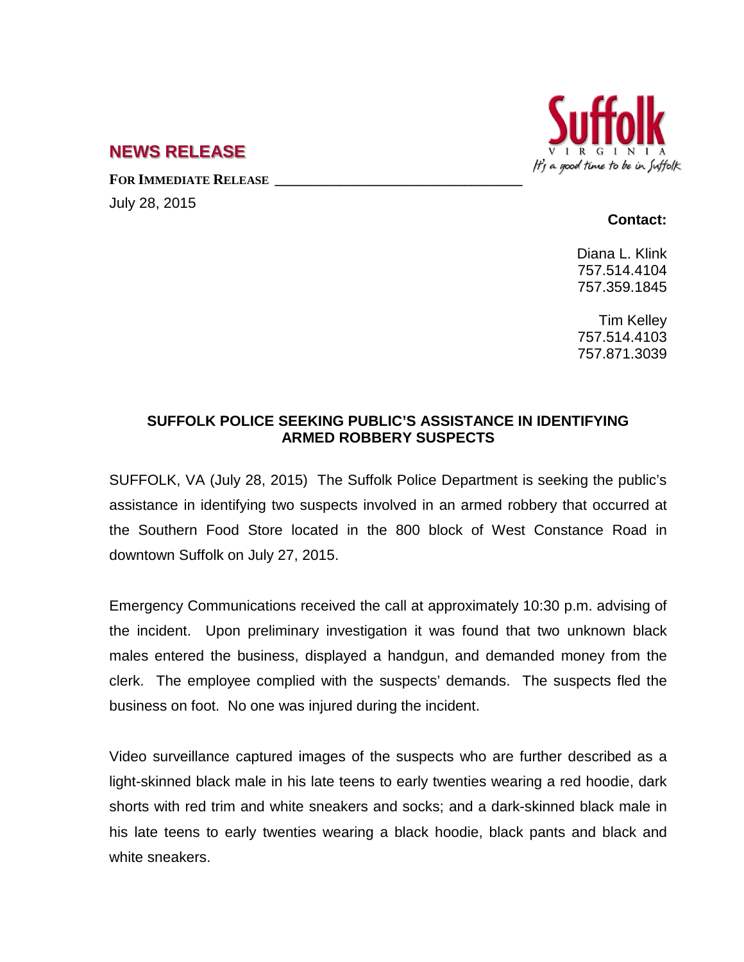

## **NEWS RELEASE**

**FOR IMMEDIATE RELEASE \_\_\_\_\_\_\_\_\_\_\_\_\_\_\_\_\_\_\_\_\_\_\_\_\_\_\_\_\_\_\_\_\_\_**

July 28, 2015

## **Contact:**

Diana L. Klink 757.514.4104 757.359.1845

Tim Kelley 757.514.4103 757.871.3039

## **SUFFOLK POLICE SEEKING PUBLIC'S ASSISTANCE IN IDENTIFYING ARMED ROBBERY SUSPECTS**

SUFFOLK, VA (July 28, 2015) The Suffolk Police Department is seeking the public's assistance in identifying two suspects involved in an armed robbery that occurred at the Southern Food Store located in the 800 block of West Constance Road in downtown Suffolk on July 27, 2015.

Emergency Communications received the call at approximately 10:30 p.m. advising of the incident. Upon preliminary investigation it was found that two unknown black males entered the business, displayed a handgun, and demanded money from the clerk. The employee complied with the suspects' demands. The suspects fled the business on foot. No one was injured during the incident.

Video surveillance captured images of the suspects who are further described as a light-skinned black male in his late teens to early twenties wearing a red hoodie, dark shorts with red trim and white sneakers and socks; and a dark-skinned black male in his late teens to early twenties wearing a black hoodie, black pants and black and white sneakers.